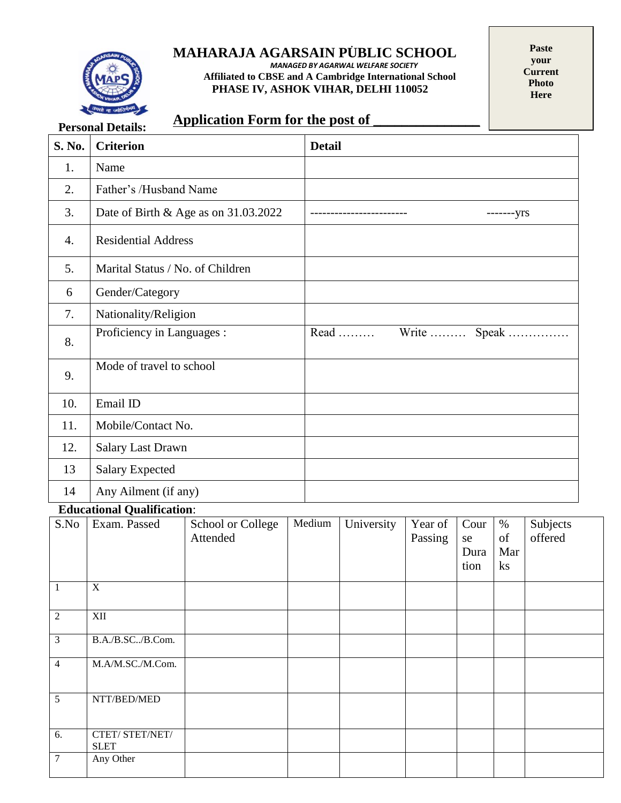

#### . **MAHARAJA AGARSAIN PUBLIC SCHOOL**

*MANAGED BY AGARWAL WELFARE SOCIETY*  **Affiliated to CBSE and A Cambridge International School PHASE IV, ASHOK VIHAR, DELHI 110052**

**Paste your Current Photo Here**

## **Application Form for the post of \_\_\_\_\_\_\_\_\_\_\_\_\_\_\_**

|        | <b>Personal Details:</b>             | Application Form for the post of |  |               |            |                    |                            |                         |                     |
|--------|--------------------------------------|----------------------------------|--|---------------|------------|--------------------|----------------------------|-------------------------|---------------------|
| S. No. | <b>Criterion</b>                     |                                  |  | <b>Detail</b> |            |                    |                            |                         |                     |
| 1.     | Name                                 |                                  |  |               |            |                    |                            |                         |                     |
| 2.     | Father's /Husband Name               |                                  |  |               |            |                    |                            |                         |                     |
| 3.     | Date of Birth & Age as on 31.03.2022 |                                  |  | -------yrs    |            |                    |                            |                         |                     |
| 4.     | <b>Residential Address</b>           |                                  |  |               |            |                    |                            |                         |                     |
| 5.     | Marital Status / No. of Children     |                                  |  |               |            |                    |                            |                         |                     |
| 6      | Gender/Category                      |                                  |  |               |            |                    |                            |                         |                     |
| 7.     | Nationality/Religion                 |                                  |  |               |            |                    |                            |                         |                     |
| 8.     | Proficiency in Languages :           |                                  |  |               | $Read$     | Write              |                            |                         | Speak               |
| 9.     | Mode of travel to school             |                                  |  |               |            |                    |                            |                         |                     |
| 10.    | Email ID                             |                                  |  |               |            |                    |                            |                         |                     |
| 11.    | Mobile/Contact No.                   |                                  |  |               |            |                    |                            |                         |                     |
| 12.    | <b>Salary Last Drawn</b>             |                                  |  |               |            |                    |                            |                         |                     |
| 13     | <b>Salary Expected</b>               |                                  |  |               |            |                    |                            |                         |                     |
| 14     | Any Ailment (if any)                 |                                  |  |               |            |                    |                            |                         |                     |
|        | <b>Educational Qualification:</b>    |                                  |  |               |            |                    |                            |                         |                     |
| S.No   | Exam. Passed                         | School or College<br>Attended    |  | Medium        | University | Year of<br>Passing | Cour<br>se<br>Dura<br>tion | $\%$<br>of<br>Mar<br>ks | Subjects<br>offered |

|                |                               |  |  | Dura<br>tion | Mar<br>$\mathbf{k}$ s |  |
|----------------|-------------------------------|--|--|--------------|-----------------------|--|
| 1              | $\mathbf X$                   |  |  |              |                       |  |
| 2              | XII                           |  |  |              |                       |  |
| 3              | B.A./B.SC/B.Com.              |  |  |              |                       |  |
| $\overline{4}$ | M.A/M.SC./M.Com.              |  |  |              |                       |  |
| 5              | NTT/BED/MED                   |  |  |              |                       |  |
| 6.             | CTET/STET/NET/<br><b>SLET</b> |  |  |              |                       |  |
| $\overline{7}$ | Any Other                     |  |  |              |                       |  |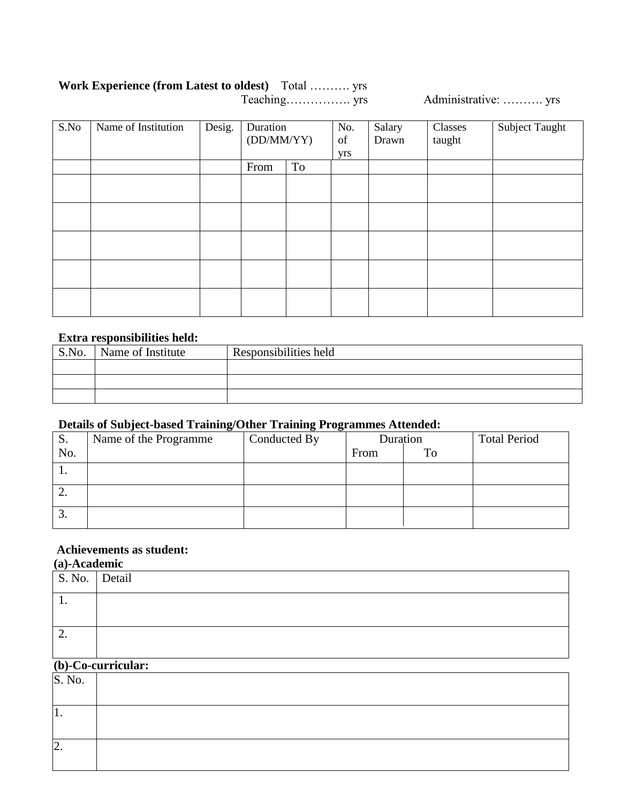### **Work Experience (from Latest to oldest)** Total ………. yrs Administrative: ……….. yrs

| S.No | Name of Institution | Desig. | Duration<br>(DD/MM/YY) |    | No.<br>of<br>yrs | Salary<br>Drawn | Classes<br>taught | Subject Taught |
|------|---------------------|--------|------------------------|----|------------------|-----------------|-------------------|----------------|
|      |                     |        | From                   | To |                  |                 |                   |                |
|      |                     |        |                        |    |                  |                 |                   |                |
|      |                     |        |                        |    |                  |                 |                   |                |
|      |                     |        |                        |    |                  |                 |                   |                |
|      |                     |        |                        |    |                  |                 |                   |                |
|      |                     |        |                        |    |                  |                 |                   |                |

### **Extra responsibilities held:**

| S.No. | Name of Institute | Responsibilities held |  |  |  |  |  |
|-------|-------------------|-----------------------|--|--|--|--|--|
|       |                   |                       |  |  |  |  |  |
|       |                   |                       |  |  |  |  |  |
|       |                   |                       |  |  |  |  |  |
|       |                   |                       |  |  |  |  |  |
|       |                   |                       |  |  |  |  |  |
|       |                   |                       |  |  |  |  |  |
|       |                   |                       |  |  |  |  |  |

### **Details of Subject-based Training/Other Training Programmes Attended:**

| S.  | Name of the Programme | Conducted By | Duration |    | <b>Total Period</b> |
|-----|-----------------------|--------------|----------|----|---------------------|
| No. |                       |              | From     | To |                     |
|     |                       |              |          |    |                     |
| ۷.  |                       |              |          |    |                     |
| C.  |                       |              |          |    |                     |

### **Achievements as student:**

### **(a)-Academic**

| S. No. Detail |  |
|---------------|--|
| . .           |  |
|               |  |
| <u>.</u>      |  |
|               |  |

# **(b)-Co-curricular:**

| S. No.           |  |
|------------------|--|
|                  |  |
| $\overline{1}$ . |  |
|                  |  |
| 2.               |  |
|                  |  |